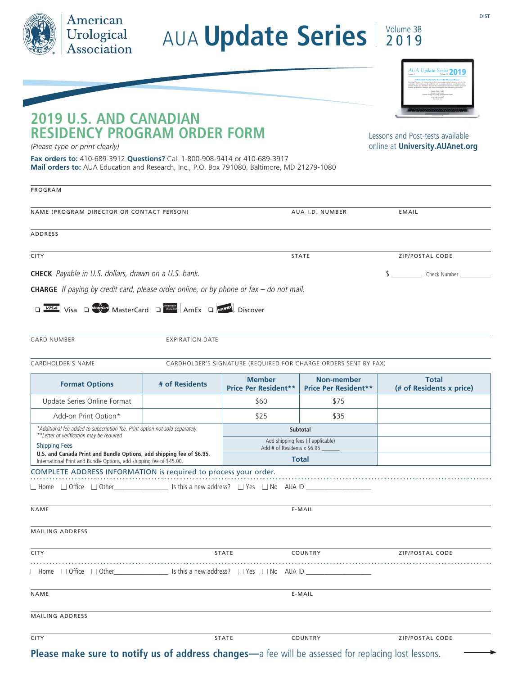| American<br>Urological<br>Association |
|---------------------------------------|
|                                       |

## AUA **Update Series** 2019

DIST

## **2019 U.S. AND CANADIAN RESIDENCY PROGRAM ORDER FORM**

Lessons and Post-tests available online at **University.AUAnet.org**

*(Please type or print clearly)* 

**Fax orders to:** 410-689-3912 **Questions?** Call 1-800-908-9414 or 410-689-3917 **Mail orders to:** AUA Education and Research, Inc., P.O. Box 791080, Baltimore, MD 21279-1080

| PROGRAM                                                                                                                                          |                         |                                              |                                           |                                          |  |  |  |  |
|--------------------------------------------------------------------------------------------------------------------------------------------------|-------------------------|----------------------------------------------|-------------------------------------------|------------------------------------------|--|--|--|--|
| NAME (PROGRAM DIRECTOR OR CONTACT PERSON)                                                                                                        |                         | AUA I.D. NUMBER                              |                                           | EMAIL                                    |  |  |  |  |
| ADDRESS                                                                                                                                          |                         |                                              |                                           |                                          |  |  |  |  |
| <b>CITY</b>                                                                                                                                      | <b>STATE</b>            |                                              | ZIP/POSTAL CODE                           |                                          |  |  |  |  |
| <b>CHECK</b> Payable in U.S. dollars, drawn on a U.S. bank.                                                                                      |                         | $\sim$<br>Check Number                       |                                           |                                          |  |  |  |  |
| <b>CHARGE</b> If paying by credit card, please order online, or by phone or $\frac{f}{dx}$ – do not mail.                                        |                         |                                              |                                           |                                          |  |  |  |  |
| <b>DESAS</b> Visa D <sup>Maskercard MasterCard DESASSER AmEx DISCOVER Discover</sup>                                                             |                         |                                              |                                           |                                          |  |  |  |  |
| <b>CARD NUMBER</b>                                                                                                                               | EXPIRATION DATE         |                                              |                                           |                                          |  |  |  |  |
| <b>CARDHOLDER'S NAME</b><br>CARDHOLDER'S SIGNATURE (REQUIRED FOR CHARGE ORDERS SENT BY FAX)                                                      |                         |                                              |                                           |                                          |  |  |  |  |
| <b>Format Options</b>                                                                                                                            | # of Residents          | <b>Member</b><br><b>Price Per Resident**</b> | Non-member<br><b>Price Per Resident**</b> | <b>Total</b><br>(# of Residents x price) |  |  |  |  |
| Update Series Online Format                                                                                                                      |                         | \$60                                         | \$75                                      |                                          |  |  |  |  |
| Add-on Print Option*                                                                                                                             |                         | \$25                                         | \$35                                      |                                          |  |  |  |  |
| *Additional fee added to subscription fee. Print option not sold separately.<br>**Letter of verification may be required<br><b>Shipping Fees</b> |                         | Subtotal                                     |                                           |                                          |  |  |  |  |
|                                                                                                                                                  |                         | Add # of Residents x \$6.95                  | Add shipping fees (if applicable)         |                                          |  |  |  |  |
| U.S. and Canada Print and Bundle Options, add shipping fee of \$6.95.<br>International Print and Bundle Options, add shipping fee of \$45.00.    |                         | <b>Total</b>                                 |                                           |                                          |  |  |  |  |
| COMPLETE ADDRESS INFORMATION is required to process your order.                                                                                  |                         |                                              |                                           |                                          |  |  |  |  |
|                                                                                                                                                  |                         |                                              |                                           |                                          |  |  |  |  |
| NAME                                                                                                                                             | E-MAIL                  |                                              |                                           |                                          |  |  |  |  |
| <b>MAILING ADDRESS</b>                                                                                                                           |                         |                                              |                                           |                                          |  |  |  |  |
| <b>CITY</b>                                                                                                                                      | <b>STATE</b><br>COUNTRY |                                              | <b>ZIP/POSTAL CODE</b>                    |                                          |  |  |  |  |
| $\Box$ Home $\Box$ Office $\Box$ Other $\Box$ Is this a new address? $\Box$ Yes $\Box$ No AUA ID                                                 |                         |                                              |                                           |                                          |  |  |  |  |
| NAME                                                                                                                                             |                         | E-MAIL                                       |                                           |                                          |  |  |  |  |
| <b>MAILING ADDRESS</b>                                                                                                                           |                         |                                              |                                           |                                          |  |  |  |  |
| <b>CITY</b>                                                                                                                                      |                         | STATE                                        | COUNTRY<br>211-11                         | ZIP/POSTAL CODE                          |  |  |  |  |

**Please make sure to notify us of address changes—**a fee will be assessed for replacing lost lessons.